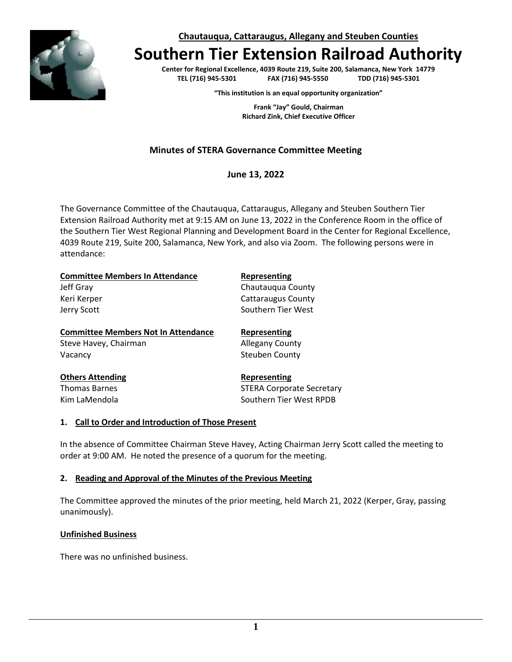

**Chautauqua, Cattaraugus, Allegany and Steuben Counties**

# **Southern Tier Extension Railroad Authority**

**Center for Regional Excellence, 4039 Route 219, Suite 200, Salamanca, New York 14779**  $FAX (716) 945-5550$ 

**"This institution is an equal opportunity organization"**

**Frank "Jay" Gould, Chairman Richard Zink, Chief Executive Officer**

# **Minutes of STERA Governance Committee Meeting**

**June 13, 2022**

The Governance Committee of the Chautauqua, Cattaraugus, Allegany and Steuben Southern Tier Extension Railroad Authority met at 9:15 AM on June 13, 2022 in the Conference Room in the office of the Southern Tier West Regional Planning and Development Board in the Center for Regional Excellence, 4039 Route 219, Suite 200, Salamanca, New York, and also via Zoom. The following persons were in attendance:

| <b>Committee Members In Attendance</b>     | Representing                     |
|--------------------------------------------|----------------------------------|
| Jeff Gray                                  | Chautauqua County                |
| Keri Kerper                                | <b>Cattaraugus County</b>        |
| Jerry Scott                                | Southern Tier West               |
| <b>Committee Members Not In Attendance</b> | Representing                     |
| Steve Havey, Chairman                      | <b>Allegany County</b>           |
| Vacancy                                    | Steuben County                   |
| <b>Others Attending</b>                    | Representing                     |
| <b>Thomas Barnes</b>                       | <b>STERA Corporate Secretary</b> |
| Kim LaMendola                              | Southern Tier West RPDB          |

## **1. Call to Order and Introduction of Those Present**

In the absence of Committee Chairman Steve Havey, Acting Chairman Jerry Scott called the meeting to order at 9:00 AM. He noted the presence of a quorum for the meeting.

## **2. Reading and Approval of the Minutes of the Previous Meeting**

The Committee approved the minutes of the prior meeting, held March 21, 2022 (Kerper, Gray, passing unanimously).

## **Unfinished Business**

There was no unfinished business.